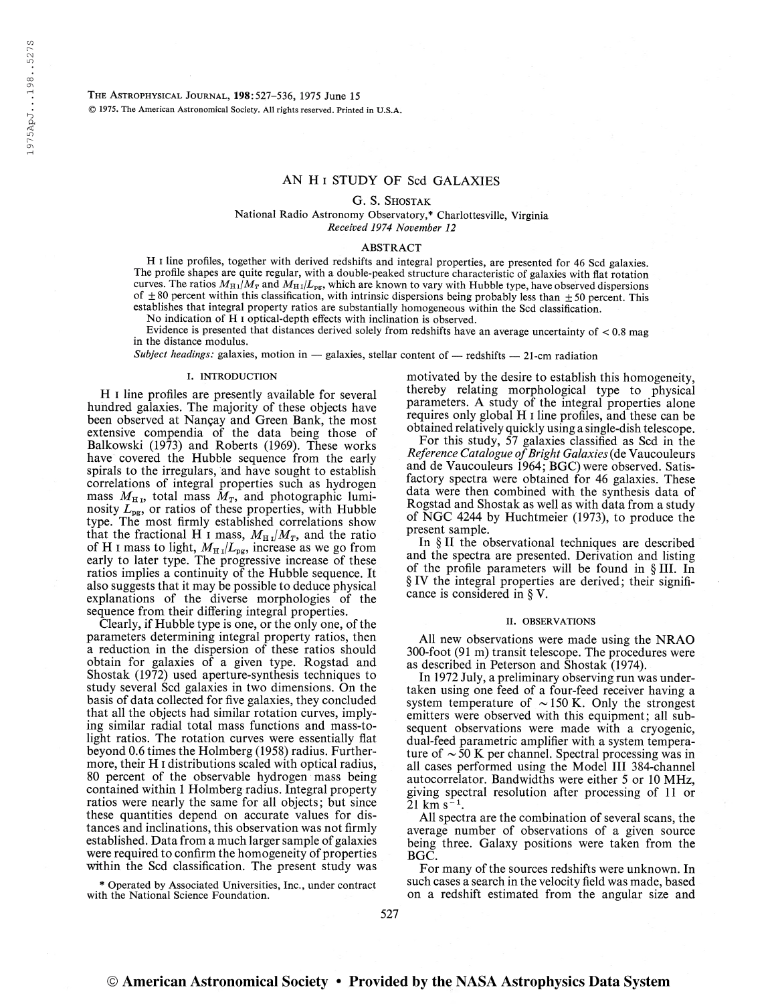The Astrophysical Journal, 198:527-536, 1975 June <sup>15</sup> © 1975. The American Astronomical Society. All rights reserved. Printed in U.S.A.

## AN H i STUDY OF Scd GALAXIES

G. S. Shostak

National Radio Astronomy Observatory,\* Charlottesville, Virginia Received 1974 November 12

#### ABSTRACT

H i line profiles, together with derived redshifts and integral properties, are presented for 46 Scd galaxies. The profile shapes are quite regular, with a double-peaked structure characteristic of galaxies with flat rotation curves. The ratios  $M_{H1}/M_T$  and  $M_{H1}/L_{pg}$ , which are known to vary with Hubble type, have observed dispersions of  $\pm 80$  percent within this classification, with intrinsic dispersions being probably less than  $\pm 50$  percent. This establishes that integral property ratios are substantially homogeneous within the Scd classification.

No indication of H i optical-depth effects with inclination is observed.

Evidence is presented that distances derived solely from redshifts have an average uncertainty of  $< 0.8$  mag in the distance modulus.

Subject headings: galaxies, motion in  $-$  galaxies, stellar content of  $-$  redshifts  $-$  21-cm radiation

### I. INTRODUCTION

H i line profiles are presently available for several hundred galaxies. The majority of these objects have been observed at Nançay and Green Bank, the most extensive compendia of the data being those of Balkowski (1973) and Roberts (1969). These works have covered the Hubble sequence from the early spirals to the irregulars, and have sought to establish correlations of integral properties such as hydrogen mass  $M_{\text{H}}$ , total mass  $M_{\text{T}}$ , and photographic luminosity  $L_{\text{pg}}$ , or ratios of these properties, with Hubble type. The most firmly established correlations show that the fractional H I mass,  $M_{\text{H I}}/M_T$ , and the ratio of H I mass to light,  $M_{\text{H I}}/L_{\text{pg}}$ , increase as we go from early to later type. The progressive increase of these ratios implies a continuity of the Hubble sequence. It also suggests that it may be possible to deduce physical explanations of the diverse morphologies of the sequence from their differing integral properties.

Clearly, if Hubble type is one, or the only one, of the parameters determining integral property ratios, then a reduction in the dispersion of these ratios should obtain for galaxies of a given type. Rogstad and Shostak (1972) used aperture-synthesis techniques to study several Scd galaxies in two dimensions. On the basis of data collected for five galaxies, they concluded that all the objects had similar rotation curves, implying similar radial total mass functions and mass-tolight ratios. The rotation curves were essentially flat beyond 0.6 times the Holmberg (1958) radius. Furthermore, their H i distributions scaled with optical radius, 80 percent of the observable hydrogen mass being contained within <sup>1</sup> Holmberg radius. Integral property ratios were nearly the same for all objects; but since these quantities depend on accurate values for distances and inclinations, this observation was not firmly established. Data from a much larger sample of galaxies were required to confirm the homogeneity of properties within the Scd classification. The present study was

\* Operated by Associated Universities, Inc., under contract with the National Science Foundation.

motivated by the desire to establish this homogeneity, thereby relating morphological type to physical parameters. A study of the integral properties alone requires only global H i line profiles, and these can be obtained relatively quickly using a single-dish telescope.

For this study,  $\overline{57}$  galaxies classified as Scd in the Reference Catalogue of Bright Galaxies (de Vaucouleurs and de Vaucouleurs 1964; BGC) were observed. Satisfactory spectra were obtained for 46 galaxies. These data were then combined with the synthesis data of Rogstad and Shostak as well as with data from a study of NGC 4244 by Huchtmeier (1973), to produce the present sample.

In § II the observational techniques are described and the spectra are presented. Derivation and listing of the profile parameters will be found in § III. In § IV the integral properties are derived; their significance is considered in § V.

#### II. OBSERVATIONS

All new observations were made using the NRAO 300-foot (91 m) transit telescope. The procedures were as described in Peterson and Shostak (1974).

In 1972 July, a preliminary observing run was undertaken using one feed of a four-feed receiver having a system temperature of  $\sim$  150 K. Only the strongest emitters were observed with this equipment; all subsequent observations were made with a cryogenic, dual-feed parametric amplifier with a system temperature of  $\sim$  50 K per channel. Spectral processing was in all cases performed using the Model III 384-channel autocorrelator. Bandwidths were either 5 or 10 MHz, giving spectral resolution after processing of 11 or  $21 \text{ km s}^{-1}$ .  $21 \mathrm{~km~s^{-1}}$ .

All spectra are the combination of several scans, the average number of observations of a given source being three. Galaxy positions were taken from the BGC.

For many of the sources redshifts were unknown. In such cases a search in the velocity field was made, based on a redshift estimated from the angular size and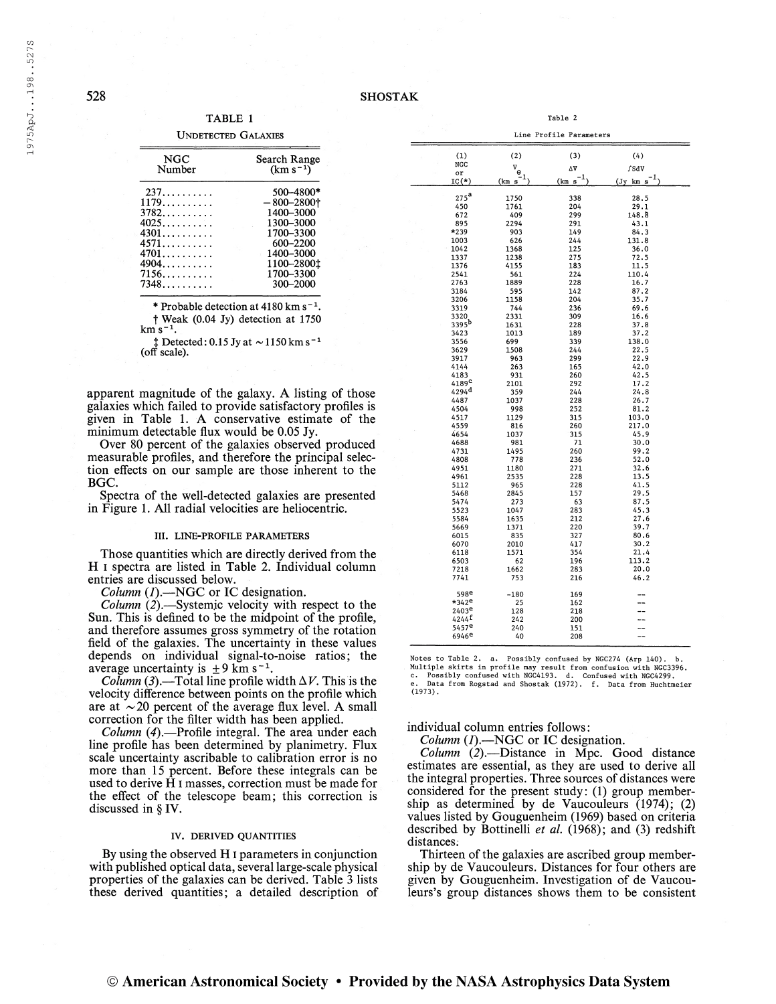TABLE <sup>1</sup>

| <b>UNDETECTED GALAXIES</b> |  |
|----------------------------|--|
|----------------------------|--|

| Search Range<br>$(km s^{-1})$                                                                |
|----------------------------------------------------------------------------------------------|
| 500-4800*<br>$-800 - 2800$ †<br>1400-3000<br>1300-3000<br>1700-3300<br>600-2200<br>1400-3000 |
| 1100-2800 <sup>t</sup><br>1700-3300<br>300-2000                                              |
|                                                                                              |

\* Probable detection at  $4180 \text{ km s}^{-1}$ .  $\dagger$  Weak (0.04 Jy) detection at 1750

 $km s^{-1}$ .

i s<sup>−1</sup>.<br>‡ Detected: 0.15 Jy at ∼1150 km s<sup>−1</sup> (off scale).

apparent magnitude of the galaxy. A listing of those galaxies which failed to provide satisfactory profiles is given in Table 1. A conservative estimate of the minimum detectable flux would be 0.05 Jy.

Over 80 percent of the galaxies observed produced measurable profiles, and therefore the principal selection effects on our sample are those inherent to the BGC.

Spectra of the well-detected galaxies are presented in Figure 1. All radial velocities are heliocentric.

### III. LINE-PROFILE PARAMETERS

Those quantities which are directly derived from the H i spectra are listed in Table 2. Individual column entries are discussed below.

Column  $(I)$ . --NGC or IC designation.

Column (2).—Systemic velocity with respect to the Sun. This is defined to be the midpoint of the profile, and therefore assumes gross symmetry of the rotation field of the galaxies. The uncertainty in these values depends on individual signal-to-noise ratios; the average uncertainty is  $\pm 9 \text{ km s}^{-1}$ .

*Column* (3).—Total line profile width  $\Delta V$ . This is the velocity difference between points on the profile which are at  $\sim$  20 percent of the average flux level. A small correction for the filter width has been applied.

Column (4).—Profile integral. The area under each line profile has been determined by planimetry. Flux scale uncertainty ascribable to calibration error is no more than 15 percent. Before these integrals can be used to derive H i masses, correction must be made for the effect of the telescope beam; this correction is discussed in § IV.

## IV. DERIVED QUANTITIES

By using the observed H i parameters in conjunction with published optical data, several large-scale physical properties of the galaxies can be derived. Table 3 lists these derived quantities; a detailed description of

| (1)                                      | (2)         | (3)           | (4)           |
|------------------------------------------|-------------|---------------|---------------|
| NGC                                      |             |               |               |
| or                                       | $V_{\odot}$ | ΔV            | f SdV         |
| $IC(*)$                                  | (km s       | $-1$<br>(km s | ı<br>(Jy km s |
| $275^{\mathrm{a}}$                       |             |               |               |
| 450                                      | 1750        | 338<br>204    | 28.5          |
| 672                                      | 1761<br>409 | 299           | 29.1<br>148.8 |
| 895                                      | 2294        | 291           | 43.1          |
| *239                                     | 903         | 149           | 84.3          |
| 1003                                     | 626         | 244           | 131.8         |
| 1042                                     | 1368        | 125           | 36.0          |
| 1337                                     | 1238        | 275           | 72.5          |
| 1376                                     | 4155        | 183           | 11.5          |
| 2541                                     | 561         | 224           | 110.4         |
| 2763                                     | 1889        | 228           | 16.7          |
| 3184                                     | 595         | 142           | 87.2          |
| 3206                                     | 1158        | 204           | 35.7          |
| 3319                                     | 744         | 236           | 69.6          |
| 3320                                     | 2331        | 309           | 16.6          |
| 3395 <sup>b</sup>                        | 1631        | 228           | 37.8          |
| 3423                                     | 1013        | 189           | 37.2          |
| 3556                                     | 699         | 339           | 138.0         |
| 3629                                     | 1508        | 244           | 22.5          |
| 3917                                     | 963         | 299           | 22.9          |
| 4144                                     | 263         | 165           | 42.0          |
| 4183                                     | 931         | 260           | 42.5          |
| 4189 <sup>c</sup><br>$4294$ <sup>d</sup> | 2101        | 292           | 17.2          |
| 4487                                     | 359         | 244<br>228    | 24.8<br>26.7  |
| 4504                                     | 1037<br>998 | 252           | 81.2          |
| 4517                                     | 1129        | 315           | 103.0         |
| 4559                                     | 816         | 260           | 217.0         |
| 4654                                     | 1037        | 315           | 45.9          |
| 4688                                     | 981         | 71            | 30.0          |
| 4731                                     | 1495        | 260           | 99.2          |
| 4808                                     | 778         | 236           | 52.0          |
| 4951                                     | 1180        | 271           | 32.6          |
| 4961                                     | 2535        | 228           | 13.5          |
| 5112                                     | 965         | 228           | 41.5          |
| 5468                                     | 2845        | 157           | 29.5          |
| 5474                                     | 273         | 63            | 87.5          |
| 5523                                     | 1047        | 283           | 45.3          |
| 5584                                     | 1635        | 212           | 27.6          |
| 5669                                     | 1371        | 220           | 39.7          |
| 6015                                     | 835         | 327           | 80.6          |
| 6070                                     | 2010        | 417           | 30.2          |
| 6118                                     | 1571        | 354<br>196    | 21.4<br>113.2 |
| 6503<br>7218                             | 62<br>1662  | 283           | 20.0          |
| 7741                                     | 753         | 216           | 46.2          |
|                                          |             |               |               |
| 598e                                     | $-180$      | 169           |               |
| $*342e$                                  | 25          | 162           |               |
| 2403 <sup>e</sup>                        | 128         | 218           |               |
| $4244^{\text{f}}$                        | 242         | 200           |               |
| 5457e                                    | 240         | 151           |               |

Table 2

Line Profile Parameters

Notes to Table 2. a. Possibly confused by NGC274 (Arp 140). b.<br>Multiple skirts in profile may result from confusion with NGC3396.<br>c. Possibly confused with NGC4193. d. Confused with NGC4299.<br>e. Data from Rogstad and Shosta

208

individual column entries follows:

<sup>6946</sup><sup>e</sup>

Column  $(I)$ . --NGC or IC designation.

 $Column (2)$ .—Distance in Mpc. Good distance estimates are essential, as they are used to derive all the integral properties. Three sources of distances were considered for the present study: (1) group membership as determined by de Vaucouleurs (1974); (2) values listed by Gouguenheim (1969) based on criteria described by Bottinelli et al.  $(1968)$ ; and  $(3)$  redshift distances.

Thirteen of the galaxies are ascribed group membership by de Vaucouleurs. Distances for four others are given by Gouguenheim. Investigation of de Vaucouleurs's group distances shows them to be consistent

528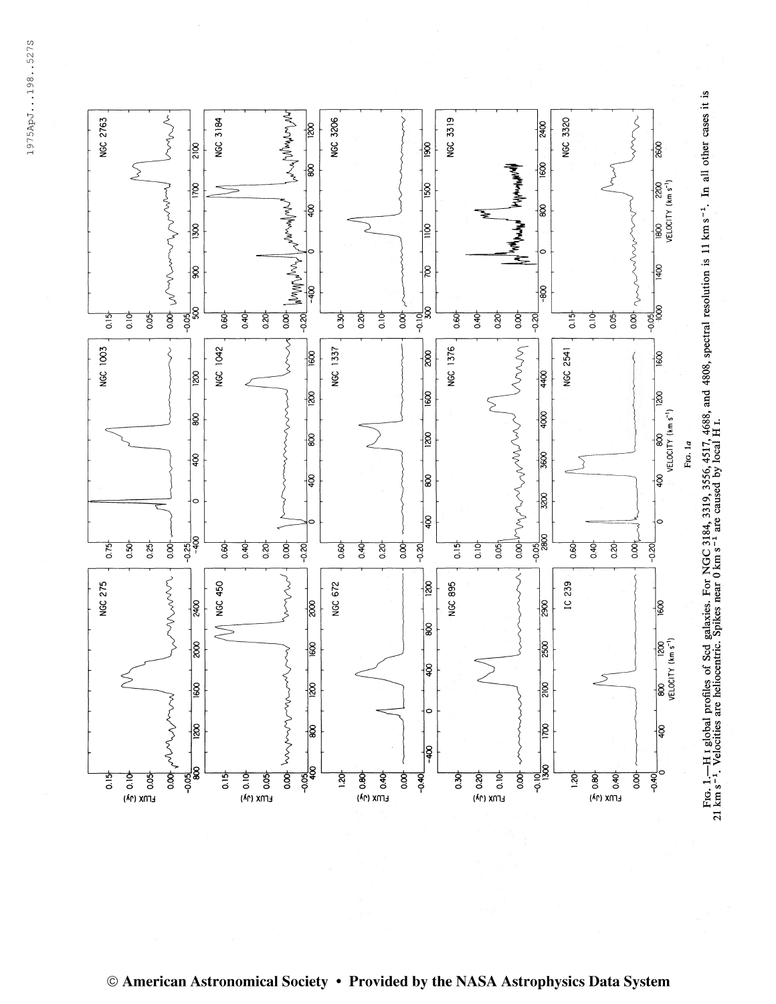1975ApJ...198..527S 197 5ApJ. . .198. .5273

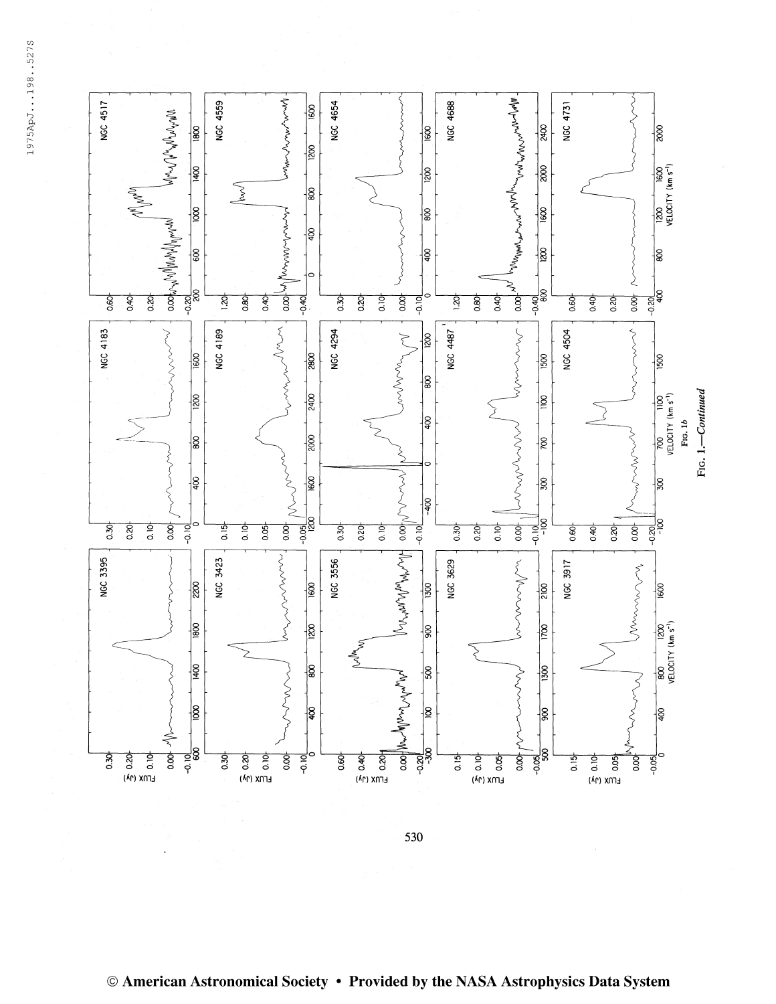

530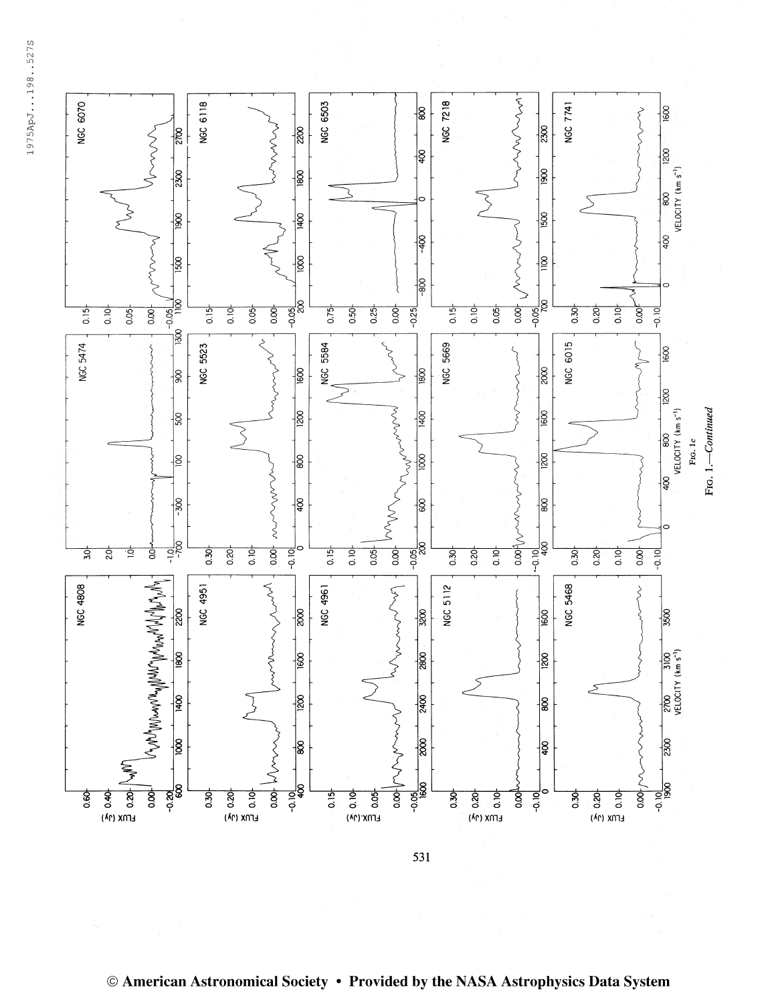



531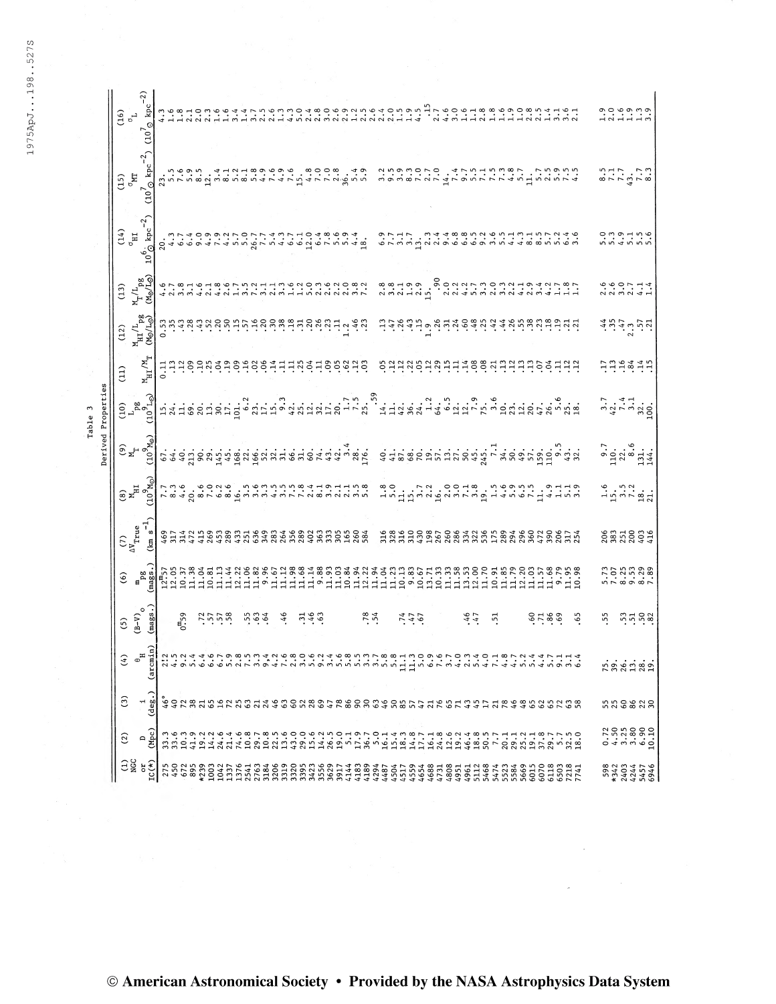527S  $^\infty_\infty$ ğ, LOO' co

Table 3

|        |                   | $(16)$<br>$\frac{1}{6}$<br>$\frac{1}{2}$<br>$\frac{1}{4}$<br>$\frac{1}{4}$<br>$\frac{1}{4}$<br>$\frac{1}{4}$<br>$\frac{1}{4}$<br>$\frac{1}{4}$<br>$\frac{1}{4}$<br>$\frac{1}{4}$<br>$\frac{1}{4}$<br>$\frac{1}{4}$<br>$\frac{1}{4}$<br>$\frac{1}{4}$<br>$\frac{1}{4}$<br>$\frac{1}{4}$<br>$\frac{1}{4}$<br>$\frac{1}{4}$<br>$\frac{1}{4}$<br>$\frac{$ |                           |                                                                                                                                                                                                                        |                                                                                                                                                                                                                                                                                                                     |      |      |      |  |  |  |  |  |  |     |  |         |  |  |            |  |  |  |                                                                                    |  |                                                                                                                                                                                                                                                                                                       |                                         |  |
|--------|-------------------|-------------------------------------------------------------------------------------------------------------------------------------------------------------------------------------------------------------------------------------------------------------------------------------------------------------------------------------------------------|---------------------------|------------------------------------------------------------------------------------------------------------------------------------------------------------------------------------------------------------------------|---------------------------------------------------------------------------------------------------------------------------------------------------------------------------------------------------------------------------------------------------------------------------------------------------------------------|------|------|------|--|--|--|--|--|--|-----|--|---------|--|--|------------|--|--|--|------------------------------------------------------------------------------------|--|-------------------------------------------------------------------------------------------------------------------------------------------------------------------------------------------------------------------------------------------------------------------------------------------------------|-----------------------------------------|--|
|        | $\frac{122}{120}$ |                                                                                                                                                                                                                                                                                                                                                       |                           | قامات مان المستوى المستوى المستوى المستوى المستوى المستوى المستوى المستوى المستوى المستوى المستوى ال<br>من المستوى المستوى المستوى المستوى المستوى المستوى المستوى المستوى المستوى المستوى المستوى المستوى المستوى الم |                                                                                                                                                                                                                                                                                                                     |      |      |      |  |  |  |  |  |  |     |  |         |  |  |            |  |  |  |                                                                                    |  | $8.77$ $-2.78$                                                                                                                                                                                                                                                                                        |                                         |  |
|        | $\frac{14}{9}$    |                                                                                                                                                                                                                                                                                                                                                       |                           |                                                                                                                                                                                                                        |                                                                                                                                                                                                                                                                                                                     |      |      |      |  |  |  |  |  |  |     |  |         |  |  |            |  |  |  | eruuduune endevuud taaanun eu                                                      |  | ou o -i u o<br>o u o -i u o                                                                                                                                                                                                                                                                           |                                         |  |
|        |                   |                                                                                                                                                                                                                                                                                                                                                       |                           |                                                                                                                                                                                                                        |                                                                                                                                                                                                                                                                                                                     |      |      |      |  |  |  |  |  |  |     |  |         |  |  |            |  |  |  |                                                                                    |  | 0,00,11,00,01,1                                                                                                                                                                                                                                                                                       |                                         |  |
|        |                   | $\frac{\text{M}}{\text{M}}/\frac{\text{L}}{\text{Pg}}$                                                                                                                                                                                                                                                                                                |                           | <u> </u><br>  ພໍ່ພໍ່ສໍ່ຜູ້ສະຕິສ່ອງມີພໍ່ສູງສະຕິສ່ອງສູ່ສູງສູງ                                                                                                                                                            |                                                                                                                                                                                                                                                                                                                     |      |      |      |  |  |  |  |  |  |     |  |         |  |  |            |  |  |  |                                                                                    |  | $4029$ $-21$                                                                                                                                                                                                                                                                                          |                                         |  |
|        | (11)              | $\frac{M}{H}$                                                                                                                                                                                                                                                                                                                                         |                           |                                                                                                                                                                                                                        |                                                                                                                                                                                                                                                                                                                     |      |      |      |  |  |  |  |  |  |     |  |         |  |  |            |  |  |  | 53339339443884339395343                                                            |  | hneann                                                                                                                                                                                                                                                                                                |                                         |  |
|        |                   | $\begin{bmatrix} 1 & 0 & 0 \\ 0 & 0 & 0 \end{bmatrix}$ is the set of the set of the set of the set of the set of the set of the set of the set of the set of the set of the set of the set of the set of the set of the set of the set of the set of                                                                                                  |                           |                                                                                                                                                                                                                        |                                                                                                                                                                                                                                                                                                                     |      |      |      |  |  |  |  |  |  |     |  |         |  |  |            |  |  |  |                                                                                    |  | $\frac{3}{4}$ $\frac{1}{1}$ $\frac{4}{1}$ $\frac{3}{1}$ $\frac{3}{1}$ $\frac{3}{1}$ $\frac{3}{1}$ $\frac{3}{1}$ $\frac{3}{1}$ $\frac{3}{1}$ $\frac{3}{1}$ $\frac{3}{1}$ $\frac{3}{1}$ $\frac{3}{1}$ $\frac{3}{1}$ $\frac{3}{1}$ $\frac{3}{1}$ $\frac{3}{1}$ $\frac{3}{1}$ $\frac{3}{1}$ $\frac{3}{1}$ |                                         |  |
| Jerive |                   | e a al cadinavidad de cadina de la cadina de la cadina de la cadina de la cadina de la cadina della                                                                                                                                                                                                                                                   |                           |                                                                                                                                                                                                                        |                                                                                                                                                                                                                                                                                                                     |      |      |      |  |  |  |  |  |  |     |  |         |  |  |            |  |  |  |                                                                                    |  | $9.7$<br>$-2.3$<br>$-3.4$<br>$-14.4$                                                                                                                                                                                                                                                                  |                                         |  |
|        |                   | $\begin{bmatrix} 6 \\ 10 \\ 10 \\ 10 \end{bmatrix}$                                                                                                                                                                                                                                                                                                   |                           | <b>アミト・そのこと・ことによりてアンスタンススミッシュの8768 4 つうこう ようてくる あること こころ さんこう</b>                                                                                                                                                      |                                                                                                                                                                                                                                                                                                                     |      |      |      |  |  |  |  |  |  |     |  |         |  |  |            |  |  |  |                                                                                    |  | $-5.73$<br>$-1.97$<br>$-2.7$                                                                                                                                                                                                                                                                          |                                         |  |
|        |                   |                                                                                                                                                                                                                                                                                                                                                       |                           |                                                                                                                                                                                                                        |                                                                                                                                                                                                                                                                                                                     |      |      |      |  |  |  |  |  |  |     |  |         |  |  |            |  |  |  | ERRA HANNARA HANNA 460 HAN<br>LANG HANNARA HANNARA HAN<br>LANG HANNARA HANNARA HAN |  | 2872074                                                                                                                                                                                                                                                                                               |                                         |  |
|        |                   |                                                                                                                                                                                                                                                                                                                                                       |                           |                                                                                                                                                                                                                        |                                                                                                                                                                                                                                                                                                                     |      |      |      |  |  |  |  |  |  |     |  |         |  |  |            |  |  |  |                                                                                    |  | 75.7738                                                                                                                                                                                                                                                                                               |                                         |  |
|        |                   | $(B-V)$<br>$(B-V)$<br>$(mags).$                                                                                                                                                                                                                                                                                                                       |                           |                                                                                                                                                                                                                        | $\frac{1}{2}$ $\frac{1}{2}$ $\frac{1}{2}$ $\frac{1}{2}$ $\frac{1}{2}$ $\frac{1}{2}$ $\frac{1}{2}$ $\frac{1}{2}$ $\frac{1}{2}$ $\frac{1}{2}$ $\frac{1}{2}$ $\frac{1}{2}$ $\frac{1}{2}$ $\frac{1}{2}$ $\frac{1}{2}$ $\frac{1}{2}$ $\frac{1}{2}$ $\frac{1}{2}$ $\frac{1}{2}$ $\frac{1}{2}$ $\frac{1}{2}$ $\frac{1}{2}$ |      |      |      |  |  |  |  |  |  | .54 |  | 2, 4, 6 |  |  | $45$ $-51$ |  |  |  | $5.83$ $0.5$                                                                       |  | 55                                                                                                                                                                                                                                                                                                    | siggs                                   |  |
|        | さ                 |                                                                                                                                                                                                                                                                                                                                                       | (arcm                     |                                                                                                                                                                                                                        |                                                                                                                                                                                                                                                                                                                     |      |      |      |  |  |  |  |  |  |     |  |         |  |  |            |  |  |  |                                                                                    |  |                                                                                                                                                                                                                                                                                                       | rasinan                                 |  |
|        | $\widehat{c}$     |                                                                                                                                                                                                                                                                                                                                                       | $\frac{1}{(\text{deg.})}$ |                                                                                                                                                                                                                        |                                                                                                                                                                                                                                                                                                                     |      |      |      |  |  |  |  |  |  |     |  |         |  |  |            |  |  |  |                                                                                    |  |                                                                                                                                                                                                                                                                                                       | nnesang                                 |  |
|        | $\overline{c}$    | $\mathbf{\Omega}$                                                                                                                                                                                                                                                                                                                                     | (Mpc)                     | 33347<br>3347                                                                                                                                                                                                          |                                                                                                                                                                                                                                                                                                                     | 14.2 | 24.6 | 21.4 |  |  |  |  |  |  |     |  |         |  |  |            |  |  |  |                                                                                    |  |                                                                                                                                                                                                                                                                                                       | $7.588810$<br>$0.4088010$               |  |
|        | ESC<br>Dec        |                                                                                                                                                                                                                                                                                                                                                       | $LC(*)$                   |                                                                                                                                                                                                                        |                                                                                                                                                                                                                                                                                                                     |      |      |      |  |  |  |  |  |  |     |  |         |  |  |            |  |  |  |                                                                                    |  |                                                                                                                                                                                                                                                                                                       | <b>982224546</b><br>5940447<br>59454546 |  |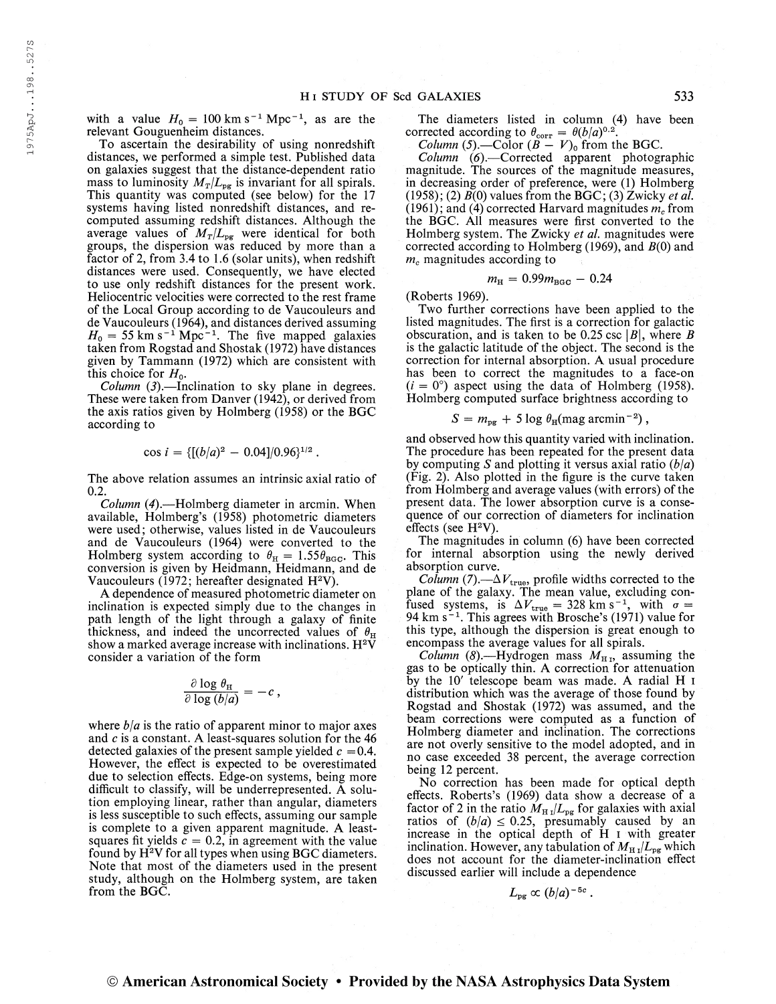with a value  $H_0 = 100 \text{ km s}^{-1} \text{ Mpc}^{-1}$ , as are the relevant Gouguenheim distances.

To ascertain the desirability of using nonredshift distances, we performed a simple test. Published data on galaxies suggest that the distance-dependent ratio mass to luminosity  $M_T/L_{pg}$  is invariant for all spirals. This quantity was computed (see below) for the 17 systems having listed nonredshift distances, and recomputed assuming redshift distances. Although the average values of  $M_T/L_{pg}$  were identical for both groups, the dispersion was reduced by more than a factor of 2, from 3.4 to 1.6 (solar units), when redshift distances were used. Consequently, we have elected to use only redshift distances for the present work. Heliocentric velocities were corrected to the rest frame of the Local Group according to de Vaucouleurs and de Vaucouleurs (1964), and distances derived assuming de Vaucouleurs (1964), and distances derived assuming<br> $H_0 = 55$  km s<sup>-1</sup> Mpc<sup>-1</sup>. The five mapped galaxies taken from Rogstad and Shostak (1972) have distances given by Tammann (1972) which are consistent with this choice for  $H_0$ .

*Column*  $(3)$ . Inclination to sky plane in degrees. These were taken from Danver (1942), or derived from the axis ratios given by Holmberg (1958) or the BGC according to

$$
\cos i = \{[(b/a)^2 - 0.04]/0.96\}^{1/2}.
$$

The above relation assumes an intrinsic axial ratio of 0.2.

Column (4).—Holmberg diameter in aremin. When available, Holmberg's (1958) photometric diameters were used; otherwise, values listed in de Vaucouleurs and de Vaucouleurs (1964) were converted to the Holmberg system according to  $\theta_{\text{H}} = 1.55 \theta_{\text{BGC}}$ . This conversion is given by Heidmann, Heidmann, and de Vaucouleurs (1972; hereafter designated H<sup>2</sup>V).

A dependence of measured photometric diameter on inclination is expected simply due to the changes in path length of the light through a galaxy of finite thickness, and indeed the uncorrected values of  $\theta_{\text{H}}$ show a marked average increase with inclinations.  $\mathrm{H}^2 \vec{\mathrm{V}}$ consider a variation of the form

$$
\frac{\partial \log \theta_{\rm H}}{\partial \log (b/a)} = -c,
$$

where  $b/a$  is the ratio of apparent minor to major axes and  $c$  is a constant. A least-squares solution for the  $46$ detected galaxies of the present sample yielded  $c = 0.4$ . However, the effect is expected to be overestimated due to selection effects. Edge-on systems, being more difficult to classify, will be underrepresented. A solution employing linear, rather than angular, diameters is less susceptible to such effects, assuming our sample is complete to a given apparent magnitude. A leastsquares fit yields  $c = 0.2$ , in agreement with the value found by H <sup>2</sup>V for all types when using BGC diameters. Note that most of the diameters used in the present study, although on the Holmberg system, are taken from the BGC.

The diameters listed in column (4) have been corrected according to  $\theta_{\text{corr}} = \theta(b/a)^{0.2}$ .

*Column* (5).—Color  $(B - V)_0$  from the BGC.

Column (6).—Corrected apparent photographic magnitude. The sources of the magnitude measures, in decreasing order of preference, were (1) Holmberg (1958); (2)  $\overline{B}(0)$  values from the BGC; (3) Zwicky *et al.* (1961); and (4) corrected Harvard magnitudes  $m_c$  from the BGC. All measures were first converted to the Holmberg system. The Zwicky *et al*. magnitudes were corrected according to Holmberg (1969), and  $B(0)$  and  $m<sub>c</sub>$  magnitudes according to

$$
m_{\rm H} = 0.99 m_{\rm BGC} - 0.24
$$

(Roberts 1969).

Two further corrections have been applied to the listed magnitudes. The first is a correction for galactic obscuration, and is taken to be 0.25 csc  $\vert B\vert$ , where B is the galactic latitude of the object. The second is the correction for internal absorption. A usual procedure has been to correct the magnitudes to a face-on  $(i = 0^{\circ})$  aspect using the data of Holmberg (1958). Holmberg computed surface brightness according to

$$
S = m_{pg} + 5 \log \theta_{H}(\text{mag arcmin}^{-2}),
$$

and observed how this quantity varied with inclination. The procedure has been repeated for the present data by computing S and plotting it versus axial ratio  $(b/a)$ (Fig. 2). Also plotted in the figure is the curve taken from Holmberg and average values (with errors) of the present data. The lower absorption curve is a consequence of our correction of diameters for inclination effects (see H <sup>2</sup>V).

The magnitudes in column (6) have been corrected for internal absorption using the newly derived absorption curve.

*Column* (7).— $\Delta V_{true}$ , profile widths corrected to the plane of the galaxy. The mean value, excluding confused systems, is  $\Delta V_{true} = 328$  km s<sup>-1</sup>, with  $\sigma =$  $94 \text{ km s}^{-1}$ . This agrees with Brosche's (1971) value for this type, although the dispersion is great enough to encompass the average values for all spirals.

Column (8).—Hydrogen mass  $M_{\text{H}}$ , assuming the gas to be optically thin. A correction for attenuation by the 10' telescope beam was made. A radial H i distribution which was the average of those found by Rogstad and Shostak (1972) was assumed, and the beam corrections were computed as a function of Holmberg diameter and inclination. The corrections are not overly sensitive to the model adopted, and in no case exceeded 38 percent, the average correction being 12 percent.

No correction has been made for optical depth effects. Roberts's (1969) data show a decrease of a factor of 2 in the ratio  $M_{\text{H I}}/L_{\text{pg}}$  for galaxies with axial ratios of  $(b/a) \le 0.25$ , presumably caused by an increase in the optical depth of H i with greater inclination. However, any tabulation of  $M_{\text{H I}}/L_{\text{pg}}$  which does not account for the diameter-inclination effect discussed earlier will include a dependence

$$
L_{\rm pg} \propto (b/a)^{-5c}.
$$

© American Astronomical Society • Provided by the NASA Astrophysics Data System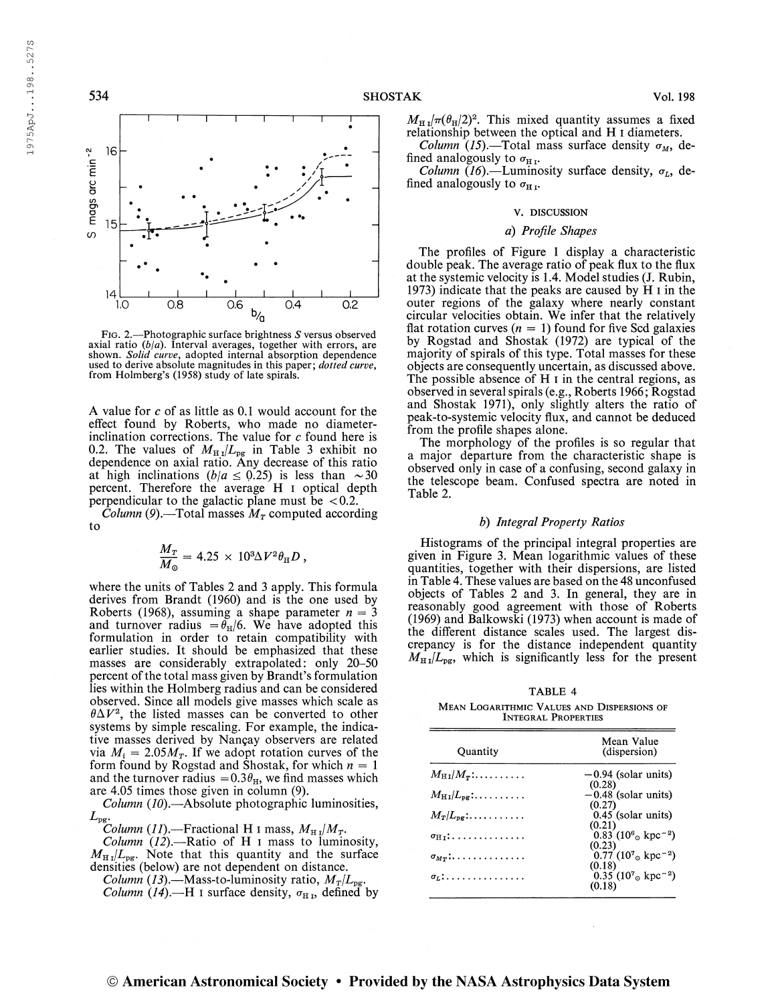

Fig. 2.—Photographic surface brightness S versus observed axial ratio  $(b/a)$ . Interval averages, together with errors, are shown. Solid curve, adopted internal absorption dependence used to derive absolute magnitudes in this paper; *dotted curve*, from Holmberg's (1958) study of late spirals.

A value for  $c$  of as little as 0.1 would account for the effect found by Roberts, who made no diameterinclination corrections. The value for  $c$  found here is 0.2. The values of  $M_{\text{H}i}/L_{\text{pg}}$  in Table 3 exhibit no dependence on axial ratio. Any decrease of this ratio at high inclinations  $(b/a \le 0.25)$  is less than  $\sim 30$ percent. Therefore the average H i optical depth perpendicular to the galactic plane must be  $< 0.2$ .

*Column* (9).—Total masses  $M_T$  computed according to

$$
\frac{M_T}{M_\odot} = 4.25 \times 10^3 \Delta V^2 \theta_\text{H} D ,
$$

where the units of Tables 2 and 3 apply. This formula derives from Brandt (1960) and is the one used by Roberts (1968), assuming a shape parameter  $n = 3$ and turnover radius = $\theta_H/6$ . We have adopted this formulation in order to retain compatibility with earlier studies. It should be emphasized that these masses are considerably extrapolated: only 20-50 percent of the total mass given by Brandt's formulation lies within the Holmberg radius and can be considered observed. Since all models give masses which scale as  $\theta \Delta V^2$ , the listed masses can be converted to other systems by simple rescaling. For example, the indicative masses derived by Nançay observers are related via  $M_i = 2.05 M_T$ . If we adopt rotation curves of the form found by Rogstad and Shostak, for which  $n = 1$ and the turnover radius =  $0.3\theta_H$ , we find masses which are 4.05 times those given in column (9).

 $Column (10)$ .—Absolute photographic luminosities,  $L_{\rm pg}$ 

 $\stackrel{\cdots}{C}$ olumn (11).—Fractional H 1 mass,  $M_{\rm H\,I}/M_T$ .

Column  $(12)$ . - Ratio of H I mass to luminosity,  $M_{\text{H I}}/L_{\text{pg}}$ . Note that this quantity and the surface densities (below) are not dependent on distance.

*Column (13).*—Mass-to-luminosity ratio,  $M_T/L_{\text{pg}}$ .

*Column (14).*—H i surface density,  $\sigma_{H_1}$ , defined by

 $M_{\text{H I}}/\pi(\theta_{\text{H}}/2)^2$ . This mixed quantity assumes a fixed relationship between the optical and H i diameters.

*Column* (15).—Total mass surface density  $\sigma_M$ , defined analogously to  $\sigma_{\text{H I}}$ .

*Column* (16).—Luminosity surface density,  $\sigma_L$ , defined analogously to  $\sigma_{\text{H I}}$ .

### v. DISCUSSION

## a) Profile Shapes

The profiles of Figure <sup>1</sup> display a characteristic double peak. The average ratio of peak flux to the flux at the systemic velocity is 1.4. Model studies (J. Rubin, 1973) indicate that the peaks are caused by H i in the outer regions of the galaxy where nearly constant circular velocities obtain. We infer that the relatively flat rotation curves  $(n = 1)$  found for five Scd galaxies by Rogstad and Shostak (1972) are typical of the majority of spirals of this type. Total masses for these objects are consequently uncertain, as discussed above. The possible absence of  $H I$  in the central regions, as observed in several spirals (e.g., Roberts 1966; Rogstad and Shostak 1971), only slightly alters the ratio of peak-to-systemic velocity flux, and cannot be deduced from the profile shapes alone.

The morphology of the profiles is so regular that a major departure from the characteristic shape is observed only in case of a confusing, second galaxy in the telescope beam. Confused spectra are noted in Table 2,

## b) Integral Property Ratios

Histograms of the principal integral properties are given in Figure 3. Mean logarithmic values of these quantities, together with their dispersions, are listed in Table 4. These values are based on the 48 unconfused objects of Tables 2 and 3. In general, they are in reasonably good agreement with those of Roberts (1969) and Balkowski (1973) when account is made of the different distance scales used. The largest discrepancy is for the distance independent quantity  $M_{\text{HJ}}/L_{\text{pg}}$ , which is significantly less for the present

TABLE 4

| MEAN LOGARITHMIC VALUES AND DISPERSIONS OF |                            |  |  |
|--------------------------------------------|----------------------------|--|--|
|                                            | <b>INTEGRAL PROPERTIES</b> |  |  |

| Quantity                                           | Mean Value<br>(dispersion)                                |
|----------------------------------------------------|-----------------------------------------------------------|
| $M_{\rm H\,{\tiny I}}/M_{\tau}:\ldots\ldots\ldots$ | $-0.94$ (solar units)                                     |
| $M_{\rm H\,I}/L_{\rm DE}$ :                        | (0.28)<br>$-0.48$ (solar units)                           |
| $M_T/L_{\text{per}} \ldots \ldots \ldots$          | (0.27)<br>0.45 (solar units)                              |
|                                                    | (0.21)<br>$0.83(10^{6} \text{ g kpc}^{-2})$               |
| $\sigma_{H}$ :                                     | (0.23)                                                    |
| $\sigma_{M_T}$ :                                   | $0.77~(10^{7}$ <sub>o</sub> kpc <sup>-2</sup> )<br>(0.18) |
| $\sigma_r$ :                                       | 0.35 $(10^{7} \text{ s kpc}^{-2})$<br>(0.18)              |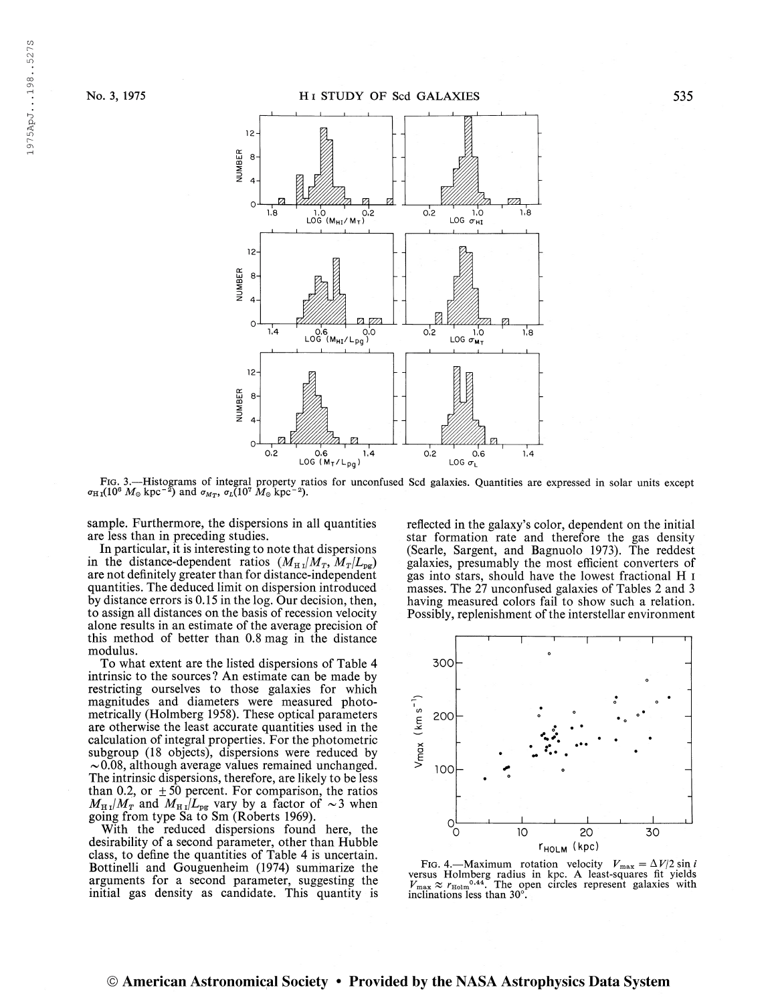

Fig. 3.—Histograms of integral property ratios for unconfused Scd galaxies. Quantities are expressed in solar units except  $\sigma_{\text{H}}(10^6 M_\odot \text{ kpc}^{-2})$  and  $\sigma_{M_T}$ ,  $\sigma_L(10^7 M_\odot \text{ kpc}^{-2})$ .

sample. Furthermore, the dispersions in all quantities are less than in preceding studies.

In particular, it is interesting to note that dispersions in the distance-dependent ratios  $(M_H / M_T, M_T / L_{pg})$ are not definitely greater than for distance-independent quantities. The deduced limit on dispersion introduced by distance errors is 0.15 in the log. Our decision, then, to assign all distances on the basis of recession velocity alone results in an estimate of the average precision of this method of better than 0.8 mag in the distance modulus.

To what extent are the listed dispersions of Table 4 intrinsic to the sources ? An estimate can be made by restricting ourselves to those galaxies for which magnitudes and diameters were measured photometrically (Holmberg 1958). These optical parameters are otherwise the least accurate quantities used in the calculation of integral properties. For the photometric subgroup (18 objects), dispersions were reduced by  $\sim$  0.08, although average values remained unchanged. The intrinsic dispersions, therefore, are likely to be less than 0.2, or  $\pm 50$  percent. For comparison, the ratios  $M_{H I}/M_T$  and  $M_{H I}/L_{pg}$  vary by a factor of ~ 3 when going from type Sa to Sm (Roberts 1969).

With the reduced dispersions found here, the desirability of a second parameter, other than Hubble class, to define the quantities of Table 4 is uncertain. Bottinelli and Gouguenheim (1974) summarize the arguments for a second parameter, suggesting the initial gas density as candidate. This quantity is reflected in the galaxy's color, dependent on the initial star formation rate and therefore the gas density (Searle, Sargent, and Bagnuolo 1973). The reddest galaxies, presumably the most efficient converters of gas into stars, should have the lowest fractional H i masses. The 27 unconfused galaxies of Tables 2 and 3 having measured colors fail to show such a relation. Possibly, replenishment of the interstellar environment



FIG. 4.—Maximum rotation velocity  $V_{\text{max}} = \Delta V/2 \sin i$  versus Holmberg radius in kpc. A least-squares fit yields  $V_{\text{max}} \approx r_{\text{Holm}}^{0.44}$ . The open circles represent galaxies with inclinations less than 30°.

1975ApJ...198..527S 197 5ApJ. . .198. .5273